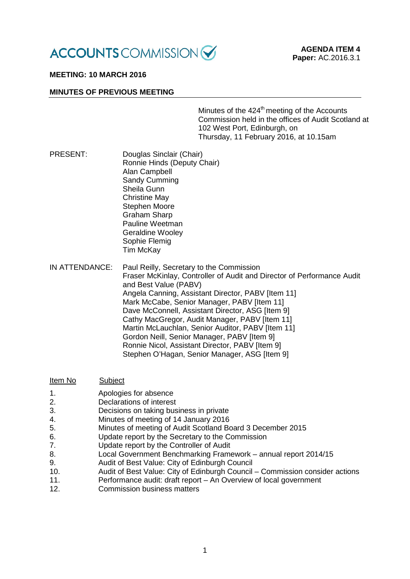

# **MEETING: 10 MARCH 2016**

### **MINUTES OF PREVIOUS MEETING**

Minutes of the 424<sup>th</sup> meeting of the Accounts Commission held in the offices of Audit Scotland at 102 West Port, Edinburgh, on Thursday, 11 February 2016, at 10.15am

- PRESENT: Douglas Sinclair (Chair) Ronnie Hinds (Deputy Chair) Alan Campbell Sandy Cumming Sheila Gunn Christine May Stephen Moore Graham Sharp Pauline Weetman Geraldine Wooley Sophie Flemig Tim McKay
- IN ATTENDANCE: Paul Reilly, Secretary to the Commission Fraser McKinlay, Controller of Audit and Director of Performance Audit and Best Value (PABV) Angela Canning, Assistant Director, PABV [Item 11] Mark McCabe, Senior Manager, PABV [Item 11] Dave McConnell, Assistant Director, ASG [Item 9] Cathy MacGregor, Audit Manager, PABV [Item 11] Martin McLauchlan, Senior Auditor, PABV IItem 111 Gordon Neill, Senior Manager, PABV [Item 9] Ronnie Nicol, Assistant Director, PABV [Item 9] Stephen O'Hagan, Senior Manager, ASG [Item 9]

| Item No | Subject                                                                      |
|---------|------------------------------------------------------------------------------|
| 1.      | Apologies for absence                                                        |
| 2.      | Declarations of interest                                                     |
| 3.      | Decisions on taking business in private                                      |
| 4.      | Minutes of meeting of 14 January 2016                                        |
| 5.      | Minutes of meeting of Audit Scotland Board 3 December 2015                   |
| 6.      | Update report by the Secretary to the Commission                             |
| 7.      | Update report by the Controller of Audit                                     |
| 8.      | Local Government Benchmarking Framework - annual report 2014/15              |
| 9.      | Audit of Best Value: City of Edinburgh Council                               |
| 10.     | Audit of Best Value: City of Edinburgh Council - Commission consider actions |
| 11.     | Performance audit: draft report - An Overview of local government            |
| 12.     | <b>Commission business matters</b>                                           |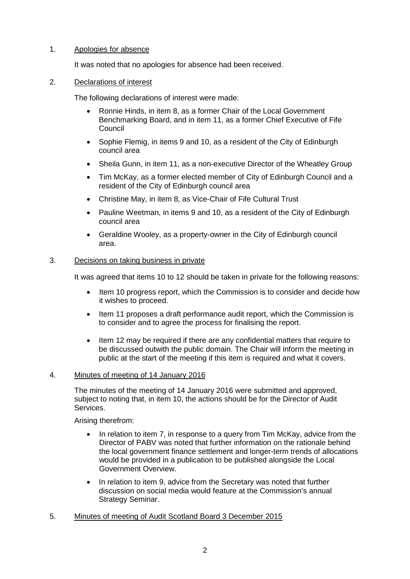# 1. Apologies for absence

It was noted that no apologies for absence had been received.

### 2. Declarations of interest

The following declarations of interest were made:

- Ronnie Hinds, in item 8, as a former Chair of the Local Government Benchmarking Board, and in item 11, as a former Chief Executive of Fife Council
- Sophie Flemig, in items 9 and 10, as a resident of the City of Edinburgh council area
- Sheila Gunn, in item 11, as a non-executive Director of the Wheatley Group
- Tim McKay, as a former elected member of City of Edinburgh Council and a resident of the City of Edinburgh council area
- Christine May, in item 8, as Vice-Chair of Fife Cultural Trust
- Pauline Weetman, in items 9 and 10, as a resident of the City of Edinburgh council area
- Geraldine Wooley, as a property-owner in the City of Edinburgh council area.

## 3. Decisions on taking business in private

It was agreed that items 10 to 12 should be taken in private for the following reasons:

- Item 10 progress report, which the Commission is to consider and decide how it wishes to proceed.
- Item 11 proposes a draft performance audit report, which the Commission is to consider and to agree the process for finalising the report.
- Item 12 may be required if there are any confidential matters that require to be discussed outwith the public domain. The Chair will inform the meeting in public at the start of the meeting if this item is required and what it covers.

## 4. Minutes of meeting of 14 January 2016

The minutes of the meeting of 14 January 2016 were submitted and approved, subject to noting that, in item 10, the actions should be for the Director of Audit Services.

Arising therefrom:

- In relation to item 7, in response to a query from Tim McKay, advice from the Director of PABV was noted that further information on the rationale behind the local government finance settlement and longer-term trends of allocations would be provided in a publication to be published alongside the Local Government Overview.
- In relation to item 9, advice from the Secretary was noted that further discussion on social media would feature at the Commission's annual Strategy Seminar.
- 5. Minutes of meeting of Audit Scotland Board 3 December 2015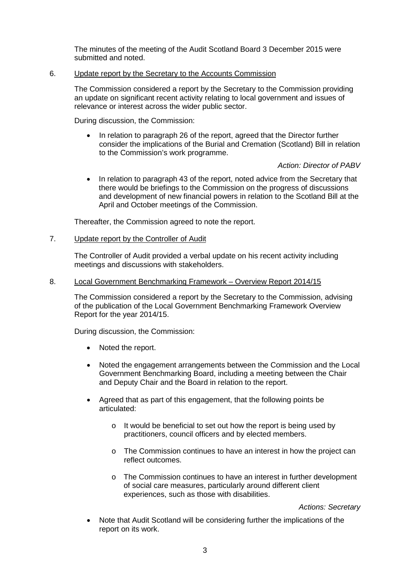The minutes of the meeting of the Audit Scotland Board 3 December 2015 were submitted and noted.

### 6. Update report by the Secretary to the Accounts Commission

The Commission considered a report by the Secretary to the Commission providing an update on significant recent activity relating to local government and issues of relevance or interest across the wider public sector.

During discussion, the Commission:

• In relation to paragraph 26 of the report, agreed that the Director further consider the implications of the Burial and Cremation (Scotland) Bill in relation to the Commission's work programme.

### *Action: Director of PABV*

• In relation to paragraph 43 of the report, noted advice from the Secretary that there would be briefings to the Commission on the progress of discussions and development of new financial powers in relation to the Scotland Bill at the April and October meetings of the Commission.

Thereafter, the Commission agreed to note the report.

## 7. Update report by the Controller of Audit

The Controller of Audit provided a verbal update on his recent activity including meetings and discussions with stakeholders.

#### 8. Local Government Benchmarking Framework – Overview Report 2014/15

The Commission considered a report by the Secretary to the Commission, advising of the publication of the Local Government Benchmarking Framework Overview Report for the year 2014/15.

During discussion, the Commission:

- Noted the report.
- Noted the engagement arrangements between the Commission and the Local Government Benchmarking Board, including a meeting between the Chair and Deputy Chair and the Board in relation to the report.
- Agreed that as part of this engagement, that the following points be articulated:
	- o It would be beneficial to set out how the report is being used by practitioners, council officers and by elected members.
	- $\circ$  The Commission continues to have an interest in how the project can reflect outcomes.
	- o The Commission continues to have an interest in further development of social care measures, particularly around different client experiences, such as those with disabilities.

*Actions: Secretary*

• Note that Audit Scotland will be considering further the implications of the report on its work.